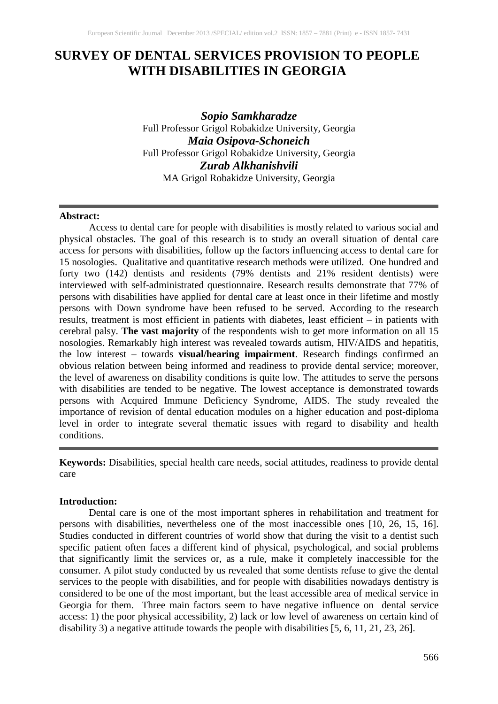# **SURVEY OF DENTAL SERVICES PROVISION TO PEOPLE WITH DISABILITIES IN GEORGIA**

*Sopio Samkharadze* Full Professor Grigol Robakidze University, Georgia *Maia Osipov[a-Schoneich](https://www.facebook.com/maia.osipovaschoneich)* Full Professor Grigol Robakidze University, Georgia *Zurab Alkhanishvili* MA Grigol Robakidze University, Georgia

#### **Abstract:**

Access to dental care for people with disabilities is mostly related to various social and physical obstacles. The goal of this research is to study an overall situation of dental care access for persons with disabilities, follow up the factors influencing access to dental care for 15 nosologies. Qualitative and quantitative research methods were utilized. One hundred and forty two (142) dentists and residents (79% dentists and 21% resident dentists) were interviewed with self-administrated questionnaire. Research results demonstrate that 77% of persons with disabilities have applied for dental care at least once in their lifetime and mostly persons with Down syndrome have been refused to be served. According to the research results, treatment is most efficient in patients with diabetes, least efficient – in patients with cerebral palsy. **The vast majority** of the respondents wish to get more information on all 15 nosologies. Remarkably high interest was revealed towards autism, HIV/AIDS and hepatitis, the low interest – towards **visual/hearing impairment**. Research findings confirmed an obvious relation between being informed and readiness to provide dental service; moreover, the level of awareness on disability conditions is quite low. The attitudes to serve the persons with disabilities are tended to be negative. The lowest acceptance is demonstrated towards persons with Acquired Immune Deficiency Syndrome, AIDS. The study revealed the importance of revision of dental education modules on a higher education and post-diploma level in order to integrate several thematic issues with regard to disability and health conditions.

**Keywords:** Disabilities, [special health care needs,](http://www.jdentaled.org/search?fulltext=patients+with+special+health+care+needs&sortspec=date&submit=Submit&andorexactfulltext=phrase) social attitudes, readiness to provide dental care

### **Introduction:**

Dental care is one of the most important spheres in rehabilitation and treatment for persons with disabilities, nevertheless one of the most inaccessible ones [10, 26, 15, 16]. Studies conducted in different countries of world show that during the visit to a dentist such specific patient often faces a different kind of physical, psychological, and social problems that significantly limit the services or, as a rule, make it completely inaccessible for the consumer. A pilot study conducted by us revealed that some dentists refuse to give the dental services to the people with disabilities, and for people with disabilities nowadays dentistry is considered to be one of the most important, but the least accessible area of medical service in Georgia for them. Three main factors seem to have negative influence on dental service access: 1) the poor physical accessibility, 2) lack or low level of awareness on certain kind of disability 3) a negative attitude towards the people with disabilities [5, 6, 11, 21, 23, 26].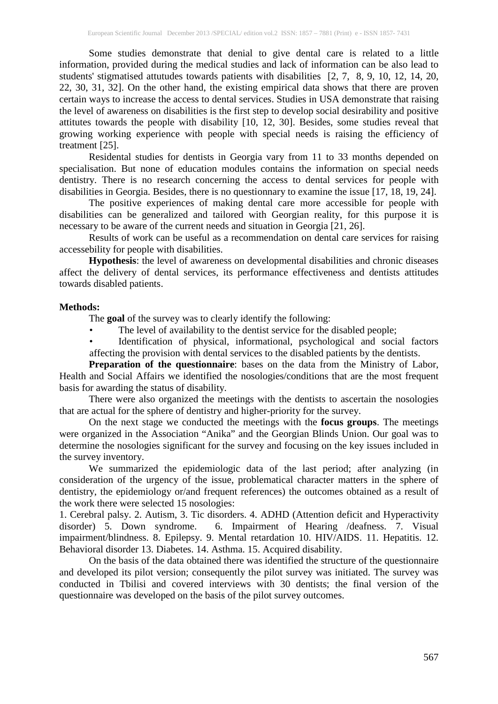Some studies demonstrate that denial to give dental care is related to a little information, provided during the medical studies and lack of information can be also lead to students' stigmatised attutudes towards patients with disabilities [2, 7, 8, 9, 10, 12, 14, 20, 22, 30, 31, 32]. On the other hand, the existing empirical data shows that there are proven certain ways to increase the access to dental services. Studies in USA demonstrate that raising the level of awareness on disabilities is the first step to develop social desirability and positive attitutes towards the people with disability [10, 12, 30]. Besides, some studies reveal that growing working experience with people with special needs is raising the efficiency of treatment [25].

Residental studies for dentists in Georgia vary from 11 to 33 months depended on specialisation. But none of education modules contains the information on special needs dentistry. There is no research concerning the access to dental services for people with disabilities in Georgia. Besides, there is no questionnary to examine the issue [17, 18, 19, 24].

The positive experiences of making dental care more accessible for people with disabilities can be generalized and tailored with Georgian reality, for this purpose it is necessary to be aware of the current needs and situation in Georgia [21, 26].

Results of work can be useful as a recommendation on dental care services for raising accessebility for people with disabilities.

**Hypothesis**: the level of awareness on developmental disabilities and chronic diseases affect the delivery of dental services, its performance effectiveness and dentists attitudes towards disabled patients.

## **Methods:**

The **goal** of the survey was to clearly identify the following:

The level of availability to the dentist service for the disabled people;

Identification of physical, informational, psychological and social factors affecting the provision with dental services to the disabled patients by the dentists.

**Preparation of the questionnaire**: bases on the data from the Ministry of Labor, Health and Social Affairs we identified the nosologies/conditions that are the most frequent basis for awarding the status of disability.

There were also organized the meetings with the dentists to ascertain the nosologies that are actual for the sphere of dentistry and higher-priority for the survey.

On the next stage we conducted the meetings with the **focus groups**. The meetings were organized in the Association "Anika" and the Georgian Blinds Union. Our goal was to determine the nosologies significant for the survey and focusing on the key issues included in the survey inventory.

We summarized the epidemiologic data of the last period; after analyzing (in consideration of the urgency of the issue, problematical character matters in the sphere of dentistry, the epidemiology or/and frequent references) the outcomes obtained as a result of the work there were selected 15 nosologies:

1. Cerebral palsy. 2. Autism, 3. Tic disorders. 4. ADHD (Attention deficit and Hyperactivity disorder) 5. Down syndrome. 6. Impairment of Hearing /deafness. 7. Visual impairment/blindness. 8. Epilepsy. 9. Mental retardation 10. HIV/AIDS. 11. Hepatitis. 12. Behavioral disorder 13. Diabetes. 14. Asthma. 15. Acquired disability.

On the basis of the data obtained there was identified the structure of the questionnaire and developed its pilot version; consequently the pilot survey was initiated. The survey was conducted in Tbilisi and covered interviews with 30 dentists; the final version of the questionnaire was developed on the basis of the pilot survey outcomes.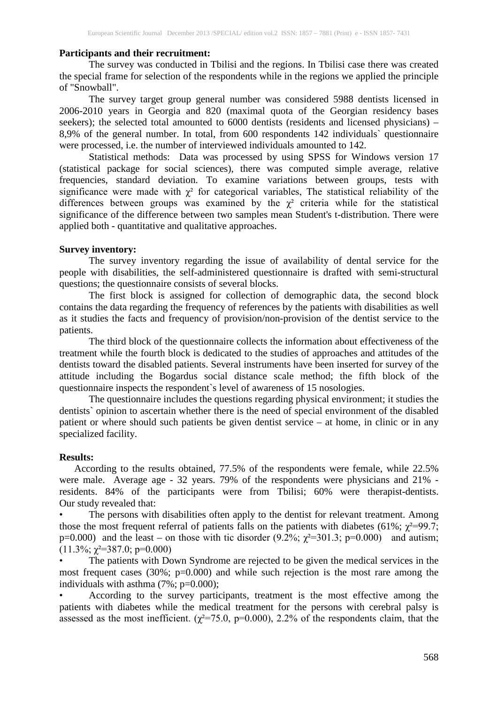## **Participants and their recruitment:**

The survey was conducted in Tbilisi and the regions. In Tbilisi case there was created the special frame for selection of the respondents while in the regions we applied the principle of "Snowball".

The survey target group general number was considered 5988 dentists licensed in 2006-2010 years in Georgia and 820 (maximal quota of the Georgian residency bases seekers); the selected total amounted to 6000 dentists (residents and licensed physicians) – 8,9% of the general number. In total, from 600 respondents 142 individuals` questionnaire were processed, i.e. the number of interviewed individuals amounted to 142.

Statistical methods: Data was processed by using SPSS for Windows version 17 (statistical package for social sciences), there was computed simple average, relative frequencies, standard deviation. To examine variations between groups, tests with significance were made with  $\chi^2$  for categorical variables, The statistical reliability of the differences between groups was examined by the  $\chi^2$  criteria while for the statistical significance of the difference between two samples mean Student's t-distribution. There were applied both - quantitative and qualitative approaches.

## **Survey inventory:**

The survey inventory regarding the issue of availability of dental service for the people with disabilities, the self-administered questionnaire is drafted with semi-structural questions; the questionnaire consists of several blocks.

The first block is assigned for collection of demographic data, the second block contains the data regarding the frequency of references by the patients with disabilities as well as it studies the facts and frequency of provision/non-provision of the dentist service to the patients.

The third block of the questionnaire collects the information about effectiveness of the treatment while the fourth block is dedicated to the studies of approaches and attitudes of the dentists toward the disabled patients. Several instruments have been inserted for survey of the attitude including the Bogardus social distance scale method; the fifth block of the questionnaire inspects the respondent`s level of awareness of 15 nosologies.

The questionnaire includes the questions regarding physical environment; it studies the dentists` opinion to ascertain whether there is the need of special environment of the disabled patient or where should such patients be given dentist service – at home, in clinic or in any specialized facility.

## **Results:**

According to the results obtained, 77.5% of the respondents were female, while 22.5% were male. Average age - 32 years. 79% of the respondents were physicians and 21% residents. 84% of the participants were from Tbilisi; 60% were therapist-dentists. Our study revealed that:

The persons with disabilities often apply to the dentist for relevant treatment. Among those the most frequent referral of patients falls on the patients with diabetes (61%;  $\chi^2$ =99.7; p=0.000) and the least – on those with tic disorder (9.2%;  $\chi^2$ =301.3; p=0.000) and autism;  $(11.3\%; \gamma^2 = 387.0; \text{p} = 0.000)$ 

The patients with Down Syndrome are rejected to be given the medical services in the most frequent cases (30%;  $p=0.000$ ) and while such rejection is the most rare among the individuals with asthma (7%; p=0.000);

• According to the survey participants, treatment is the most effective among the patients with diabetes while the medical treatment for the persons with cerebral palsy is assessed as the most inefficient. ( $\chi^2$ =75.0, p=0.000), 2.2% of the respondents claim, that the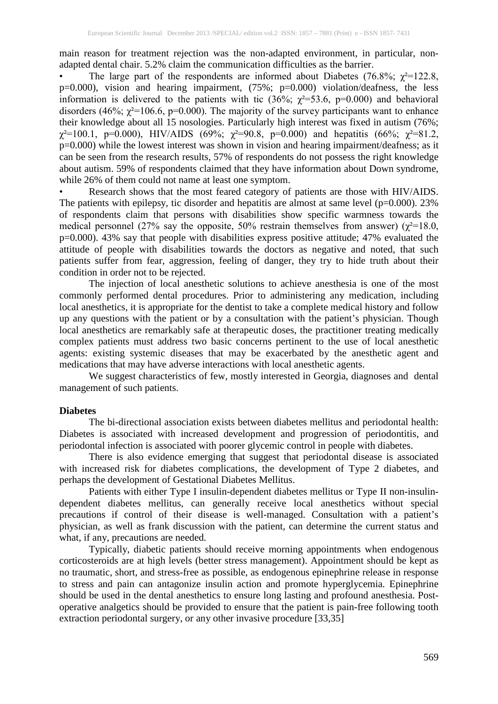main reason for treatment rejection was the non-adapted environment, in particular, nonadapted dental chair. 5.2% claim the communication difficulties as the barrier.

The large part of the respondents are informed about Diabetes (76.8%;  $\gamma^2 = 122.8$ , p=0.000), vision and hearing impairment, (75%; p=0.000) violation/deafness, the less information is delivered to the patients with tic  $(36\%; \gamma^2=53.6, p=0.000)$  and behavioral disorders (46%;  $\chi^2$ =106.6, p=0.000). The majority of the survey participants want to enhance their knowledge about all 15 nosologies. Particularly high interest was fixed in autism (76%;  $\chi^2$ =100.1, p=0.000), HIV/AIDS (69%;  $\chi^2$ =90.8, p=0.000) and hepatitis (66%;  $\chi^2$ =81.2, p=0.000) while the lowest interest was shown in vision and hearing impairment/deafness; as it can be seen from the research results, 57% of respondents do not possess the right knowledge about autism. 59% of respondents claimed that they have information about Down syndrome, while 26% of them could not name at least one symptom.

Research shows that the most feared category of patients are those with HIV/AIDS. The patients with epilepsy, tic disorder and hepatitis are almost at same level  $(p=0.000)$ . 23% of respondents claim that persons with disabilities show specific warmness towards the medical personnel (27% say the opposite, 50% restrain themselves from answer) ( $\chi^2$ =18.0, p=0.000). 43% say that people with disabilities express positive attitude; 47% evaluated the attitude of people with disabilities towards the doctors as negative and noted, that such patients suffer from fear, aggression, feeling of danger, they try to hide truth about their condition in order not to be rejected.

The injection of local anesthetic solutions to achieve anesthesia is one of the most commonly performed dental procedures. Prior to administering any medication, including local anesthetics, it is appropriate for the dentist to take a complete medical history and follow up any questions with the patient or by a consultation with the patient's physician. Though local anesthetics are remarkably safe at therapeutic doses, the practitioner treating medically complex patients must address two basic concerns pertinent to the use of local anesthetic agents: existing systemic diseases that may be exacerbated by the anesthetic agent and medications that may have adverse interactions with local anesthetic agents.

We suggest characteristics of few, mostly interested in Georgia, diagnoses and dental management of such patients.

### **Diabetes**

The bi-directional association exists between diabetes mellitus and periodontal health: Diabetes is associated with increased development and progression of periodontitis, and periodontal infection is associated with poorer glycemic control in people with diabetes.

There is also evidence emerging that suggest that periodontal disease is associated with increased risk for diabetes complications, the development of Type 2 diabetes, and perhaps the development of Gestational Diabetes Mellitus.

Patients with either Type I insulin-dependent diabetes mellitus or Type II non-insulindependent diabetes mellitus, can generally receive local anesthetics without special precautions if control of their disease is well-managed. Consultation with a patient's physician, as well as frank discussion with the patient, can determine the current status and what, if any, precautions are needed.

Typically, diabetic patients should receive morning appointments when endogenous corticosteroids are at high levels (better stress management). Appointment should be kept as no traumatic, short, and stress-free as possible, as endogenous epinephrine release in response to stress and pain can antagonize insulin action and promote hyperglycemia. Epinephrine should be used in the dental anesthetics to ensure long lasting and profound anesthesia. Postoperative analgetics should be provided to ensure that the patient is pain-free following tooth extraction periodontal surgery, or any other invasive procedure [33,35]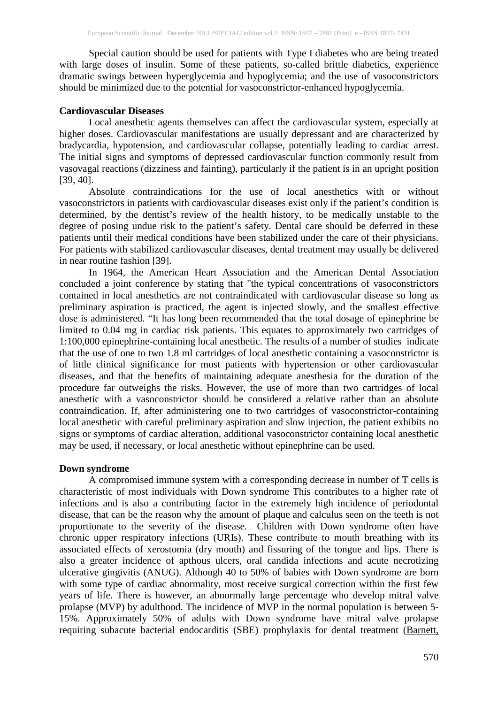Special caution should be used for patients with Type I diabetes who are being treated with large doses of insulin. Some of these patients, so-called brittle diabetics, experience dramatic swings between hyperglycemia and hypoglycemia; and the use of vasoconstrictors should be minimized due to the potential for vasoconstrictor-enhanced hypoglycemia.

## **Cardiovascular Diseases**

Local anesthetic agents themselves can affect the cardiovascular system, especially at higher doses. Cardiovascular manifestations are usually depressant and are characterized by bradycardia, hypotension, and cardiovascular collapse, potentially leading to cardiac arrest. The initial signs and symptoms of depressed cardiovascular function commonly result from vasovagal reactions (dizziness and fainting), particularly if the patient is in an upright position [39, 40].

Absolute contraindications for the use of local anesthetics with or without vasoconstrictors in patients with cardiovascular diseases exist only if the patient's condition is determined, by the dentist's review of the health history, to be medically unstable to the degree of posing undue risk to the patient's safety. Dental care should be deferred in these patients until their medical conditions have been stabilized under the care of their physicians. For patients with stabilized cardiovascular diseases, dental treatment may usually be delivered in near routine fashion [39].

In 1964, the American Heart Association and the American Dental Association concluded a joint conference by stating that "the typical concentrations of vasoconstrictors contained in local anesthetics are not contraindicated with cardiovascular disease so long as preliminary aspiration is practiced, the agent is injected slowly, and the smallest effective dose is administered. "It has long been recommended that the total dosage of epinephrine be limited to 0.04 mg in cardiac risk patients. This equates to approximately two cartridges of 1:100,000 epinephrine-containing local anesthetic. The results of a number of studies indicate that the use of one to two 1.8 ml cartridges of local anesthetic containing a vasoconstrictor is of little clinical significance for most patients with hypertension or other cardiovascular diseases, and that the benefits of maintaining adequate anesthesia for the duration of the procedure far outweighs the risks. However, the use of more than two cartridges of local anesthetic with a vasoconstrictor should be considered a relative rather than an absolute contraindication. If, after administering one to two cartridges of vasoconstrictor-containing local anesthetic with careful preliminary aspiration and slow injection, the patient exhibits no signs or symptoms of cardiac alteration, additional vasoconstrictor containing local anesthetic may be used, if necessary, or local anesthetic without epinephrine can be used.

## **Down syndrome**

A compromised immune system with a corresponding decrease in number of T cells is characteristic of most individuals with Down syndrome This contributes to a higher rate of infections and is also a contributing factor in the extremely high incidence of periodontal disease, that can be the reason why the amount of plaque and calculus seen on the teeth is not proportionate to the severity of the disease. Children with Down syndrome often have chronic upper respiratory infections (URIs). These contribute to mouth breathing with its associated effects of xerostomia (dry mouth) and fissuring of the tongue and lips. There is also a greater incidence of apthous ulcers, oral candida infections and acute necrotizing ulcerative gingivitis (ANUG). Although 40 to 50% of babies with Down syndrome are born with some type of cardiac abnormality, most receive surgical correction within the first few years of life. There is however, an abnormally large percentage who develop mitral valve prolapse (MVP) by adulthood. The incidence of MVP in the normal population is between 5- 15%. Approximately 50% of adults with Down syndrome have mitral valve prolapse requiring subacute bacterial endocarditis (SBE) prophylaxis for dental treatment [\(Barnett,](http://www.down-syndrome.org/reviews/84/#Barnett, M.L., Friedman D., & Kastner T. (1988))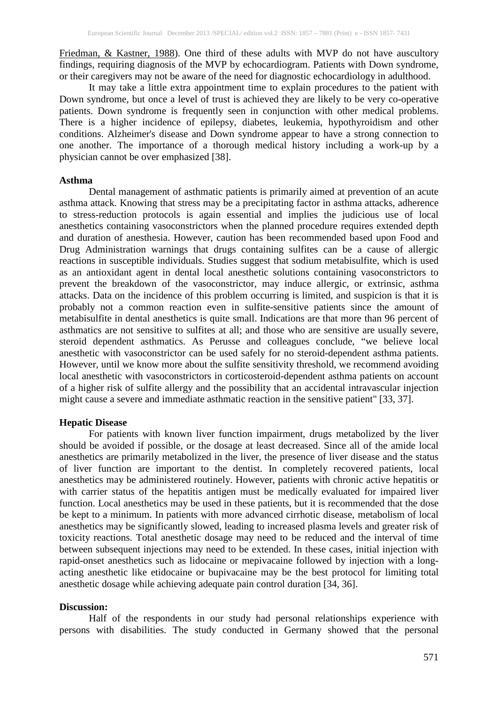[Friedman, & Kastner, 1988\)](http://www.down-syndrome.org/reviews/84/#Barnett, M.L., Friedman D., & Kastner T. (1988)). One third of these adults with MVP do not have auscultory findings, requiring diagnosis of the MVP by echocardiogram. Patients with Down syndrome, or their caregivers may not be aware of the need for diagnostic echocardiology in adulthood.

It may take a little extra appointment time to explain procedures to the patient with Down syndrome, but once a level of trust is achieved they are likely to be very co-operative patients. Down syndrome is frequently seen in conjunction with other medical problems. There is a higher incidence of epilepsy, diabetes, leukemia, hypothyroidism and other conditions. Alzheimer's disease and Down syndrome appear to have a strong connection to one another. The importance of a thorough medical history including a work-up by a physician cannot be over emphasized [38].

#### **Asthma**

Dental management of asthmatic patients is primarily aimed at prevention of an acute asthma attack. Knowing that stress may be a precipitating factor in asthma attacks, adherence to stress-reduction protocols is again essential and implies the judicious use of local anesthetics containing vasoconstrictors when the planned procedure requires extended depth and duration of anesthesia. However, caution has been recommended based upon Food and Drug Administration warnings that drugs containing sulfites can be a cause of allergic reactions in susceptible individuals. Studies suggest that sodium metabisulfite, which is used as an antioxidant agent in dental local anesthetic solutions containing vasoconstrictors to prevent the breakdown of the vasoconstrictor, may induce allergic, or extrinsic, asthma attacks. Data on the incidence of this problem occurring is limited, and suspicion is that it is probably not a common reaction even in sulfite-sensitive patients since the amount of metabisulfite in dental anesthetics is quite small. Indications are that more than 96 percent of asthmatics are not sensitive to sulfites at all; and those who are sensitive are usually severe, steroid dependent asthmatics. As Perusse and colleagues conclude, "we believe local anesthetic with vasoconstrictor can be used safely for no steroid-dependent asthma patients. However, until we know more about the sulfite sensitivity threshold, we recommend avoiding local anesthetic with vasoconstrictors in corticosteroid-dependent asthma patients on account of a higher risk of sulfite allergy and the possibility that an accidental intravascular injection might cause a severe and immediate asthmatic reaction in the sensitive patient" [33, 37].

### **Hepatic Disease**

For patients with known liver function impairment, drugs metabolized by the liver should be avoided if possible, or the dosage at least decreased. Since all of the amide local anesthetics are primarily metabolized in the liver, the presence of liver disease and the status of liver function are important to the dentist. In completely recovered patients, local anesthetics may be administered routinely. However, patients with chronic active hepatitis or with carrier status of the hepatitis antigen must be medically evaluated for impaired liver function. Local anesthetics may be used in these patients, but it is recommended that the dose be kept to a minimum. In patients with more advanced cirrhotic disease, metabolism of local anesthetics may be significantly slowed, leading to increased plasma levels and greater risk of toxicity reactions. Total anesthetic dosage may need to be reduced and the interval of time between subsequent injections may need to be extended. In these cases, initial injection with rapid-onset anesthetics such as lidocaine or mepivacaine followed by injection with a longacting anesthetic like etidocaine or bupivacaine may be the best protocol for limiting total anesthetic dosage while achieving adequate pain control duration [34, 36].

#### **Discussion:**

Half of the respondents in our study had personal relationships experience with persons with disabilities. The study conducted in Germany showed that the personal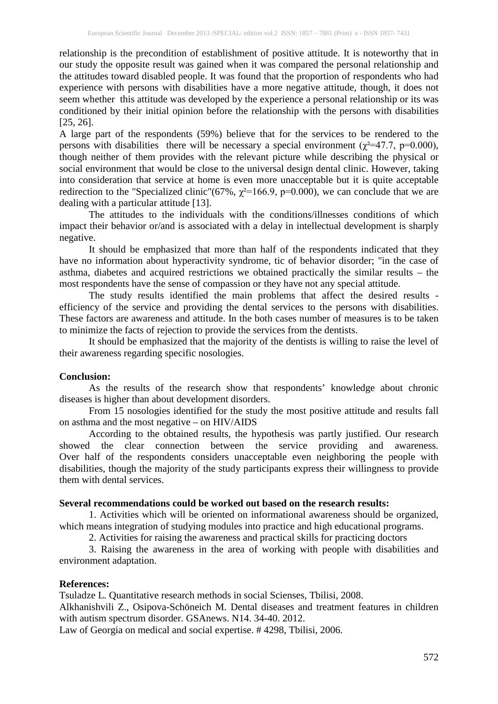relationship is the precondition of establishment of positive attitude. It is noteworthy that in our study the opposite result was gained when it was compared the personal relationship and the attitudes toward disabled people. It was found that the proportion of respondents who had experience with persons with disabilities have a more negative attitude, though, it does not seem whether this attitude was developed by the experience a personal relationship or its was conditioned by their initial opinion before the relationship with the persons with disabilities [25, 26].

A large part of the respondents (59%) believe that for the services to be rendered to the persons with disabilities there will be necessary a special environment ( $\chi^2$ =47.7, p=0.000), though neither of them provides with the relevant picture while describing the physical or social environment that would be close to the universal design dental clinic. However, taking into consideration that service at home is even more unacceptable but it is quite acceptable redirection to the "Specialized clinic"(67%,  $\chi^2$ =166.9, p=0.000), we can conclude that we are dealing with a particular attitude [13].

The attitudes to the individuals with the conditions/illnesses conditions of which impact their behavior or/and is associated with a delay in intellectual development is sharply negative.

It should be emphasized that more than half of the respondents indicated that they have no information about hyperactivity syndrome, tic of behavior disorder; "in the case of asthma, diabetes and acquired restrictions we obtained practically the similar results – the most respondents have the sense of compassion or they have not any special attitude.

The study results identified the main problems that affect the desired results efficiency of the service and providing the dental services to the persons with disabilities. These factors are awareness and attitude. In the both cases number of measures is to be taken to minimize the facts of rejection to provide the services from the dentists.

It should be emphasized that the majority of the dentists is willing to raise the level of their awareness regarding specific nosologies.

### **Conclusion:**

As the results of the research show that respondents' knowledge about chronic diseases is higher than about development disorders.

From 15 nosologies identified for the study the most positive attitude and results fall on asthma and the most negative – on HIV/AIDS

According to the obtained results, the hypothesis was partly justified. Our research showed the clear connection between the service providing and awareness. Over half of the respondents considers unacceptable even neighboring the people with disabilities, though the majority of the study participants express their willingness to provide them with dental services.

## **Several recommendations could be worked out based on the research results:**

1. Activities which will be oriented on informational awareness should be organized, which means integration of studying modules into practice and high educational programs.

2. Activities for raising the awareness and practical skills for practicing doctors

3. Raising the awareness in the area of working with people with disabilities and environment adaptation.

### **References:**

Tsuladze L. Quantitative research methods in social Scienses, Tbilisi, 2008.

Alkhanishvili Z., Osipov[a-Schöneich](https://www.facebook.com/maia.osipovaschoneich) M. Dental diseases and treatment features in children with autism spectrum disorder. GSAnews. N14. 34-40. 2012.

Law of Georgia on medical and social expertise. # 4298, Tbilisi, 2006.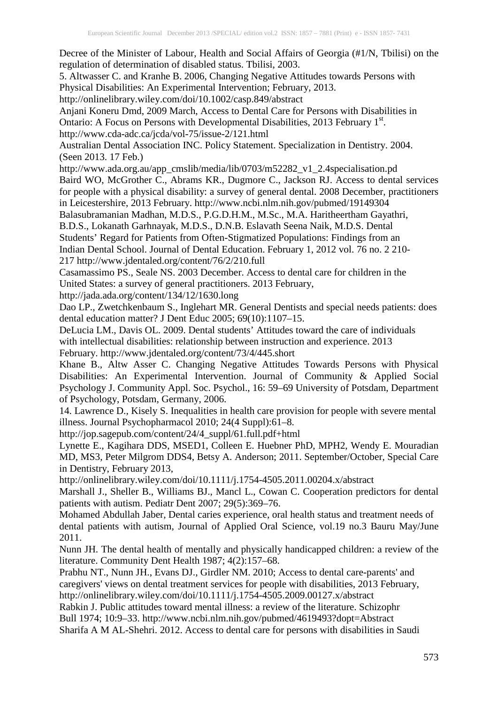Decree of the Minister of Labour, Health and Social Affairs of Georgia (#1/N, Tbilisi) on the regulation of determination of disabled status. Tbilisi, 2003.

5. Altwasser C. and Kranhe B. 2006, Changing Negative Attitudes towards Persons with Physical Disabilities: An Experimental Intervention; February, 2013.

http://onlinelibrary.wiley.com/doi/10.1002/casp.849/abstract

Anjani Koneru Dmd, 2009 March, Access to Dental Care for Persons with Disabilities in Ontario: A Focus on Persons with Developmental Disabilities, 2013 February 1st. http://www.cda-adc.ca/jcda/vol-75/issue-2/121.html

Australian Dental Association INC. Policy Statement. Specialization in Dentistry. 2004. (Seen 2013. 17 Feb.)

http://www.ada.org.au/app\_cmslib/media/lib/0703/m52282\_v1\_2.4specialisation.pd Baird WO, McGrother C., Abrams KR., Dugmore C., Jackson RJ. Access to dental services for people with a physical disability: a survey of general dental. 2008 December, practitioners in Leicestershire, 2013 February. http://www.ncbi.nlm.nih.gov/pubmed/19149304

Balasubramanian Madhan, M.D.S., P.G.D.H.M., M.Sc., M.A. Haritheertham Gayathri, B.D.S., Lokanath Garhnayak, M.D.S., D.N.B. Eslavath Seena Naik, M.D.S. Dental Students' Regard for Patients from Often-Stigmatized Populations: Findings from an Indian Dental School. Journal of Dental Education. February 1, 2012 vol. 76 no. 2 210- 217 http://www.jdentaled.org/content/76/2/210.full

Casamassimo PS., Seale NS. 2003 December. Access to dental care for children in the United States: a survey of general practitioners. 2013 February,

http://jada.ada.org/content/134/12/1630.long

Dao LP., Zwetchkenbaum S., Inglehart MR. General Dentists and special needs patients: does dental education matter? J Dent Educ 2005; 69(10):1107–15.

DeLucia LM., Davis OL. 2009. Dental students' Attitudes toward the care of individuals with intellectual disabilities: relationship between instruction and experience. 2013 February. http://www.jdentaled.org/content/73/4/445.short

Khane B., Altw Asser C. Changing Negative Attitudes Towards Persons with Physical Disabilities: An Experimental Intervention. Journal of Community & Applied Social Psychology J. Community Appl. Soc. Psychol., 16: 59–69 University of Potsdam, Department of Psychology, Potsdam, Germany, 2006.

14. Lawrence D., Kisely S. Inequalities in health care provision for people with severe mental illness. Journal Psychopharmacol 2010; 24(4 Suppl):61–8.

http://jop.sagepub.com/content/24/4\_suppl/61.full.pdf+html

Lynette E., Kagihara DDS, MSED1, Colleen E. Huebner PhD, MPH2, Wendy E. Mouradian MD, MS3, Peter Milgrom DDS4, Betsy A. Anderson; 2011. September/October, Special Care in Dentistry, February 2013,

http://onlinelibrary.wiley.com/doi/10.1111/j.1754-4505.2011.00204.x/abstract

Marshall J., Sheller B., Williams BJ., Mancl L., Cowan C. Cooperation predictors for dental patients with autism. Pediatr Dent 2007; 29(5):369–76.

Mohamed Abdullah Jaber, Dental caries experience, oral health status and treatment needs of dental patients with autism, Journal of Applied Oral Science, vol.19 no.3 Bauru May/June 2011.

Nunn JH. The dental health of mentally and physically handicapped children: a review of the literature. Community Dent Health 1987; 4(2):157–68.

Prabhu NT., Nunn JH., Evans DJ., Girdler NM. 2010; Access to dental care-parents' and caregivers' views on dental treatment services for people with disabilities, 2013 February, http://onlinelibrary.wiley.com/doi/10.1111/j.1754-4505.2009.00127.x/abstract

Rabkin J. Public attitudes toward mental illness: a review of the literature. Schizophr Bull 1974; 10:9–33. http://www.ncbi.nlm.nih.gov/pubmed/4619493?dopt=Abstract

Sharifa A M AL-Shehri. 2012. Access to dental care for persons with disabilities in Saudi